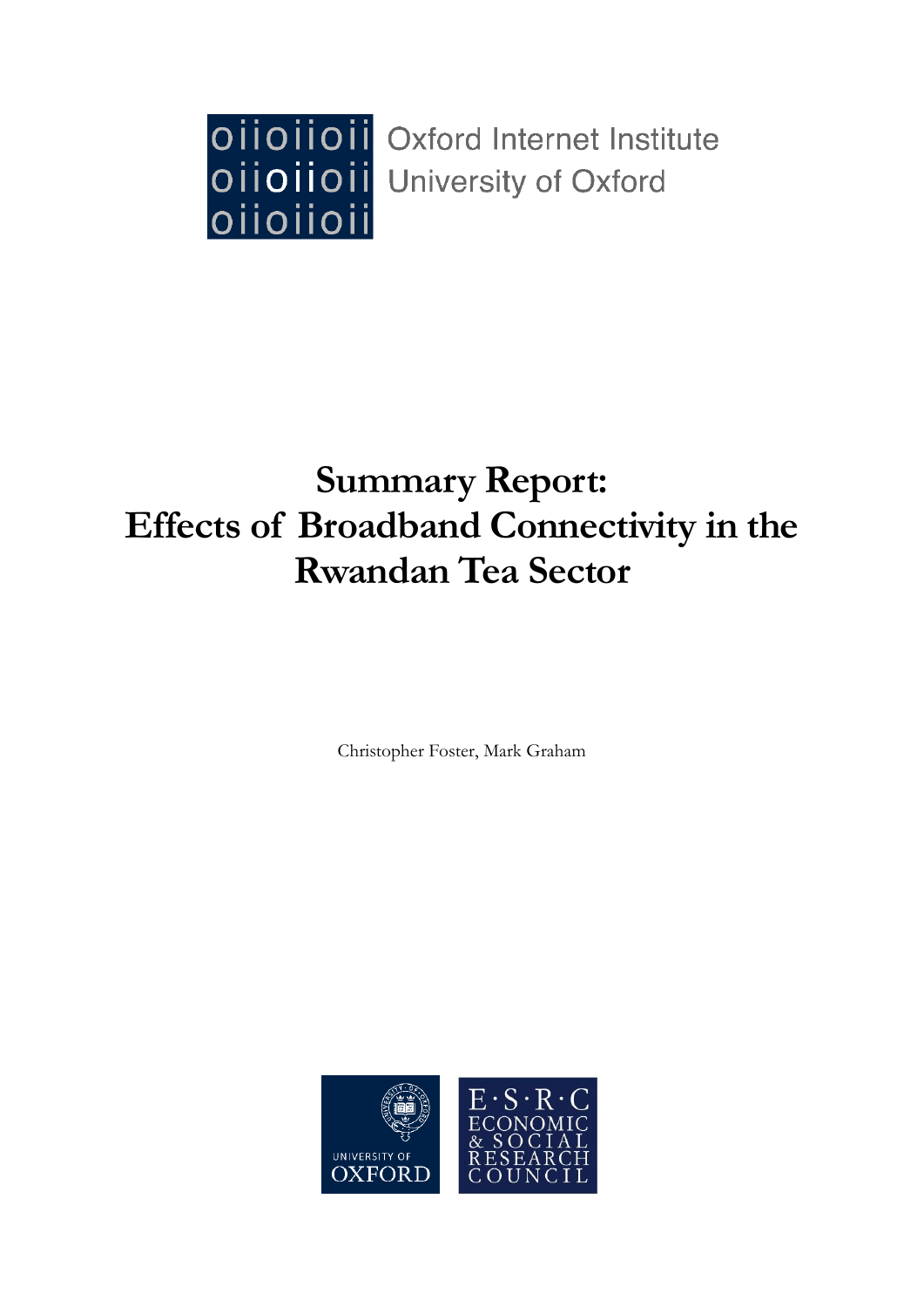

# **Summary Report: Effects of Broadband Connectivity in the Rwandan Tea Sector**

Christopher Foster, Mark Graham

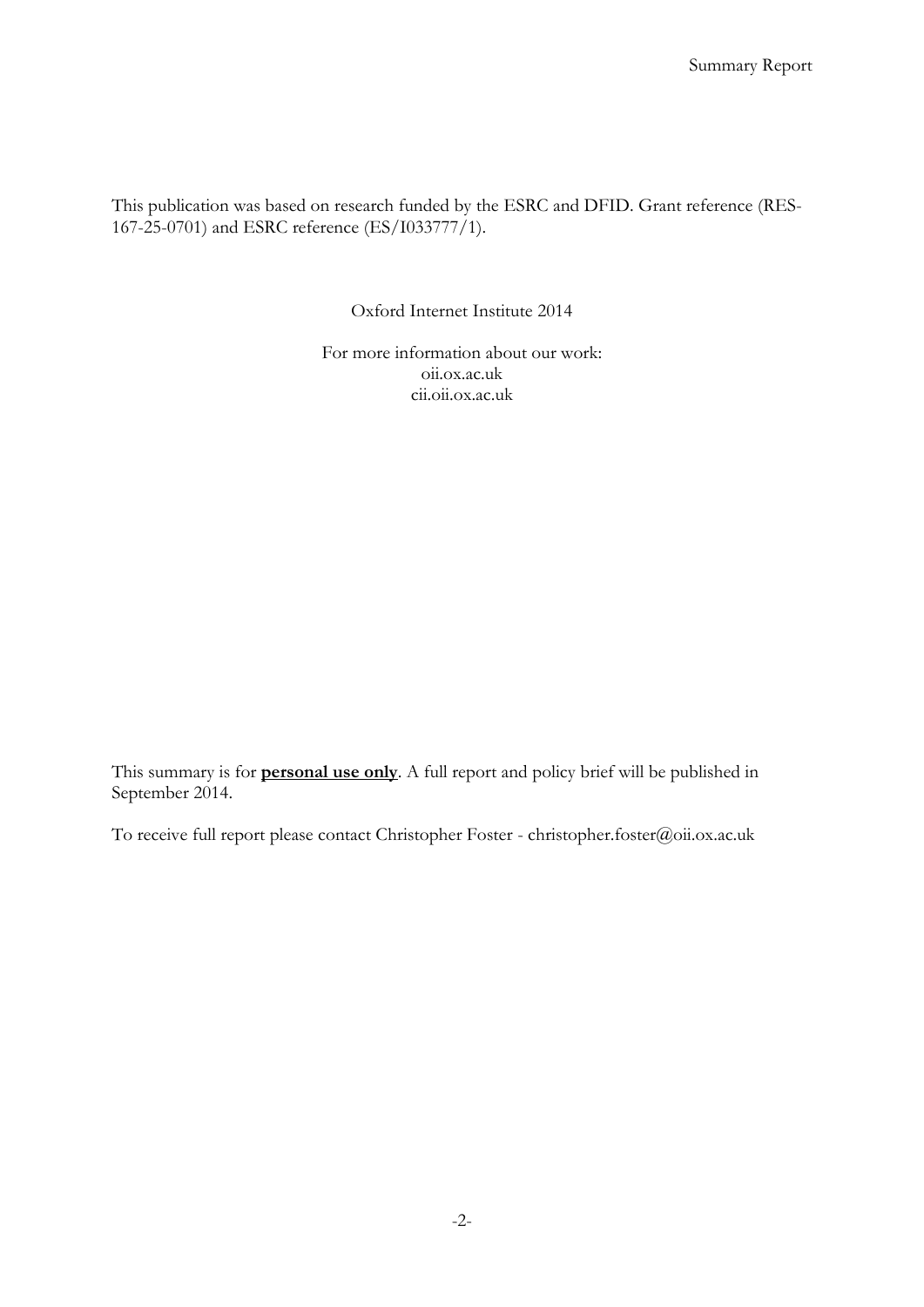This publication was based on research funded by the ESRC and DFID. Grant reference (RES-167-25-0701) and ESRC reference (ES/I033777/1).

Oxford Internet Institute 2014

For more information about our work: oii.ox.ac.uk cii.oii.ox.ac.uk

This summary is for **personal use only**. A full report and policy brief will be published in September 2014.

To receive full report please contact Christopher Foster - christopher.foster@oii.ox.ac.uk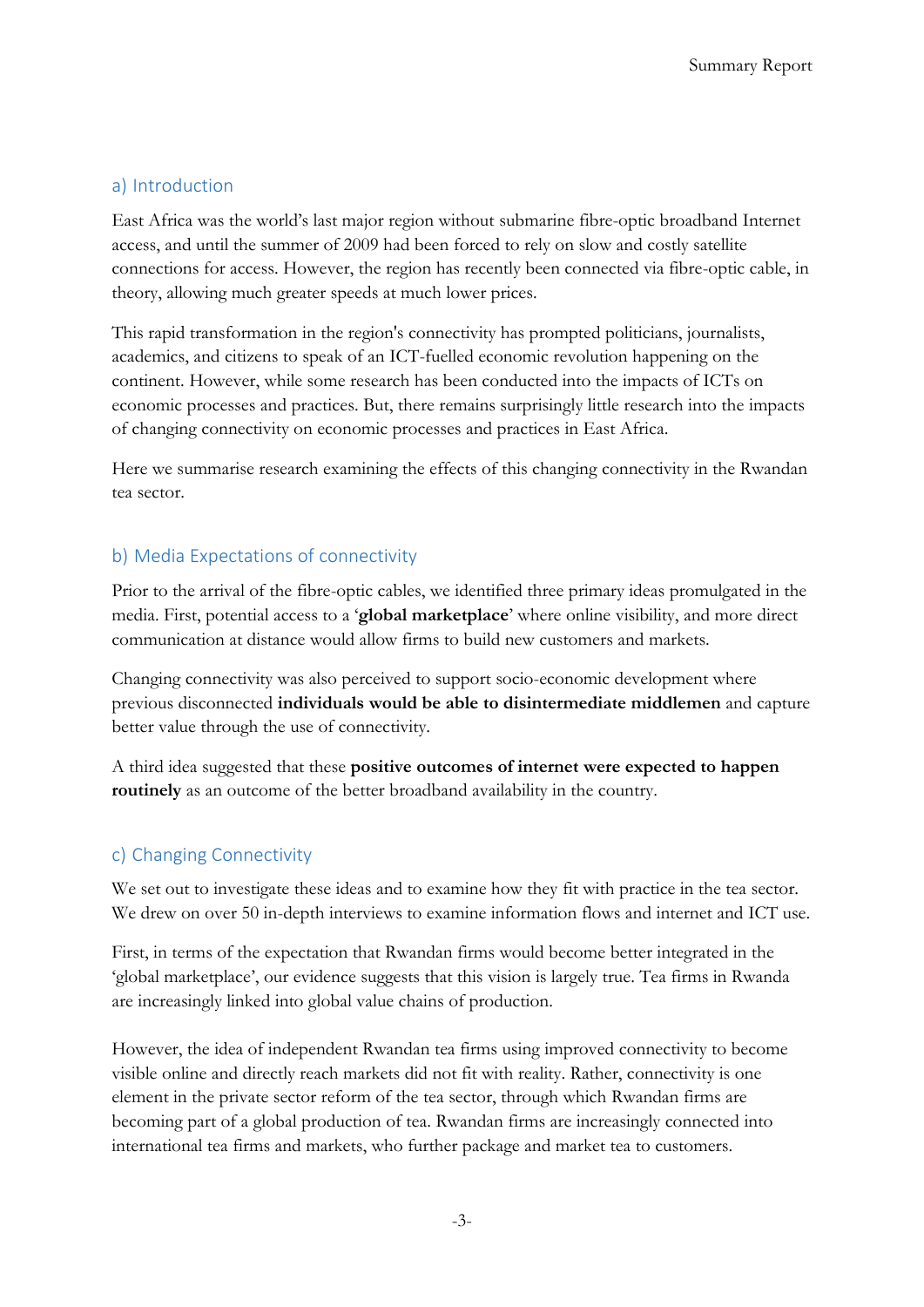## a) Introduction

East Africa was the world's last major region without submarine fibre-optic broadband Internet access, and until the summer of 2009 had been forced to rely on slow and costly satellite connections for access. However, the region has recently been connected via fibre-optic cable, in theory, allowing much greater speeds at much lower prices.

This rapid transformation in the region's connectivity has prompted politicians, journalists, academics, and citizens to speak of an ICT-fuelled economic revolution happening on the continent. However, while some research has been conducted into the impacts of ICTs on economic processes and practices. But, there remains surprisingly little research into the impacts of changing connectivity on economic processes and practices in East Africa.

Here we summarise research examining the effects of this changing connectivity in the Rwandan tea sector.

### b) Media Expectations of connectivity

Prior to the arrival of the fibre-optic cables, we identified three primary ideas promulgated in the media. First, potential access to a '**global marketplace**' where online visibility, and more direct communication at distance would allow firms to build new customers and markets.

Changing connectivity was also perceived to support socio-economic development where previous disconnected **individuals would be able to disintermediate middlemen** and capture better value through the use of connectivity.

A third idea suggested that these **positive outcomes of internet were expected to happen routinely** as an outcome of the better broadband availability in the country.

#### c) Changing Connectivity

We set out to investigate these ideas and to examine how they fit with practice in the tea sector. We drew on over 50 in-depth interviews to examine information flows and internet and ICT use.

First, in terms of the expectation that Rwandan firms would become better integrated in the 'global marketplace', our evidence suggests that this vision is largely true. Tea firms in Rwanda are increasingly linked into global value chains of production.

However, the idea of independent Rwandan tea firms using improved connectivity to become visible online and directly reach markets did not fit with reality. Rather, connectivity is one element in the private sector reform of the tea sector, through which Rwandan firms are becoming part of a global production of tea. Rwandan firms are increasingly connected into international tea firms and markets, who further package and market tea to customers.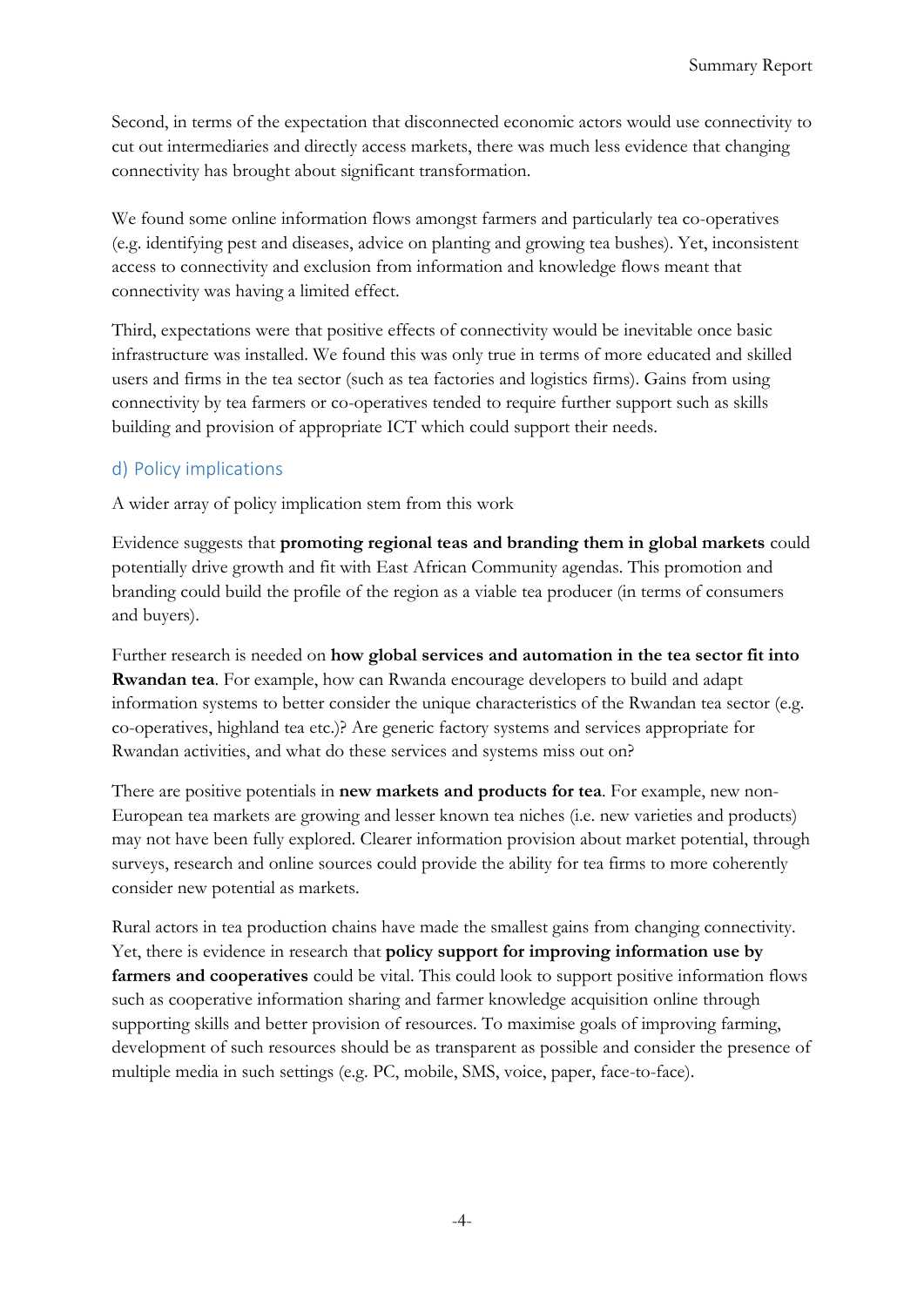Second, in terms of the expectation that disconnected economic actors would use connectivity to cut out intermediaries and directly access markets, there was much less evidence that changing connectivity has brought about significant transformation.

We found some online information flows amongst farmers and particularly tea co-operatives (e.g. identifying pest and diseases, advice on planting and growing tea bushes). Yet, inconsistent access to connectivity and exclusion from information and knowledge flows meant that connectivity was having a limited effect.

Third, expectations were that positive effects of connectivity would be inevitable once basic infrastructure was installed. We found this was only true in terms of more educated and skilled users and firms in the tea sector (such as tea factories and logistics firms). Gains from using connectivity by tea farmers or co-operatives tended to require further support such as skills building and provision of appropriate ICT which could support their needs.

## d) Policy implications

A wider array of policy implication stem from this work

Evidence suggests that **promoting regional teas and branding them in global markets** could potentially drive growth and fit with East African Community agendas. This promotion and branding could build the profile of the region as a viable tea producer (in terms of consumers and buyers).

Further research is needed on **how global services and automation in the tea sector fit into Rwandan tea**. For example, how can Rwanda encourage developers to build and adapt information systems to better consider the unique characteristics of the Rwandan tea sector (e.g. co-operatives, highland tea etc.)? Are generic factory systems and services appropriate for Rwandan activities, and what do these services and systems miss out on?

There are positive potentials in **new markets and products for tea**. For example, new non-European tea markets are growing and lesser known tea niches (i.e. new varieties and products) may not have been fully explored. Clearer information provision about market potential, through surveys, research and online sources could provide the ability for tea firms to more coherently consider new potential as markets.

Rural actors in tea production chains have made the smallest gains from changing connectivity. Yet, there is evidence in research that **policy support for improving information use by farmers and cooperatives** could be vital. This could look to support positive information flows such as cooperative information sharing and farmer knowledge acquisition online through supporting skills and better provision of resources. To maximise goals of improving farming, development of such resources should be as transparent as possible and consider the presence of multiple media in such settings (e.g. PC, mobile, SMS, voice, paper, face-to-face).